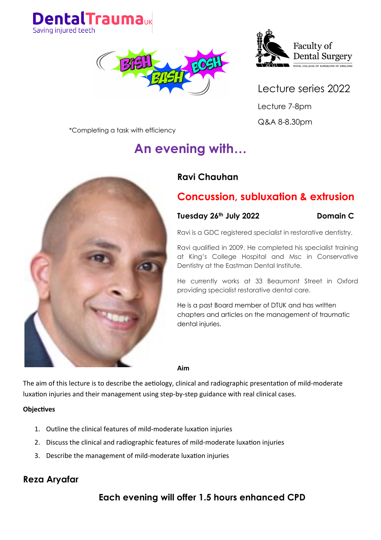





Lecture series 2022 Lecture 7-8pm Q&A 8-8.30pm

\*Completing a task with efficiency

# **An evening with…**



# **Concussion, subluxation & extrusion**

### **Tuesday 26th July 2022 Domain C**

Ravi is a GDC registered specialist in restorative dentistry.

Ravi qualified in 2009. He completed his specialist training at King's College Hospital and Msc in Conservative Dentistry at the Eastman Dental Institute.

He currently works at 33 Beaumont Street in Oxford providing specialist restorative dental care.

He is a past Board member of DTUK and has written chapters and articles on the management of traumatic dental injuries.

**Aim**

The aim of this lecture is to describe the aetiology, clinical and radiographic presentation of mild-moderate luxation injuries and their management using step-by-step guidance with real clinical cases.

### **Objectives**

- 1. Outline the clinical features of mild-moderate luxation injuries
- 2. Discuss the clinical and radiographic features of mild-moderate luxation injuries
- 3. Describe the management of mild-moderate luxation injuries

# **Reza Aryafar**

# **Each evening will offer 1.5 hours enhanced CPD**